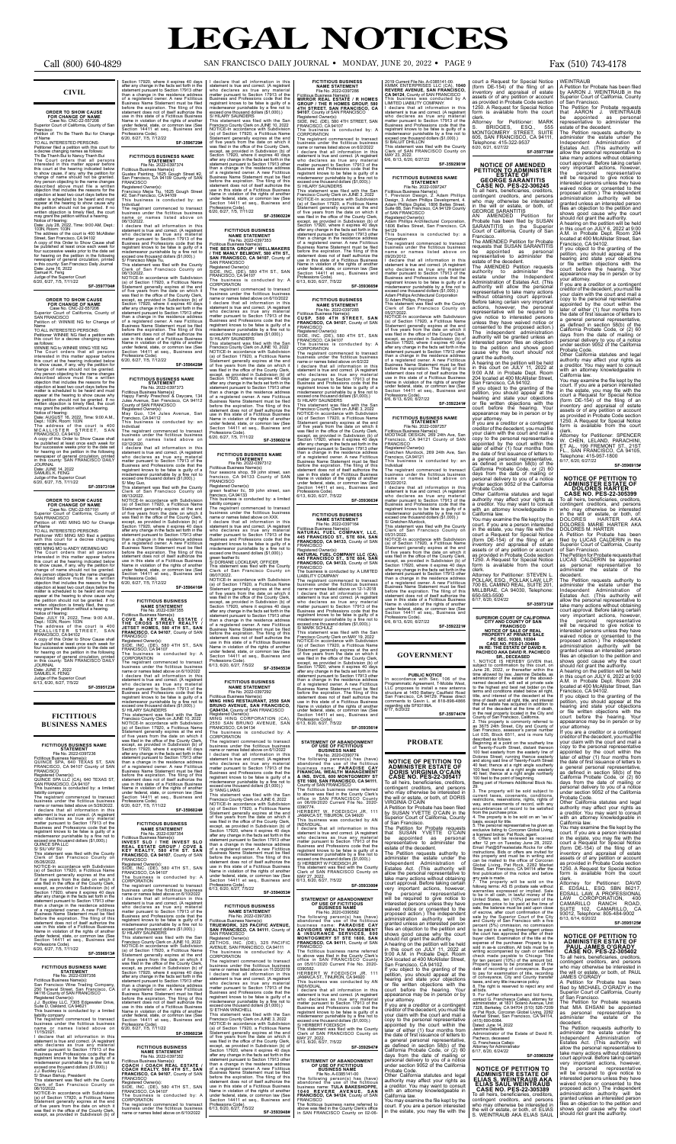### **CIVIL**

## **ORDER TO SHOW CAUSE<br>FOR CHANGE OF NAME<br>Case No. CNC-22-557208<br>Superior Court of California, County of San**

Francisco Petition of: Thi Be Thanh Bui for Change

of Name<br>To ALL INTERESTED PERSONS:<br>To ALL INTERESTED PERSONS:<br>a decree changing names as follows:<br>Thi Be Thanh Bui to Nancy Thanh Bui<br>The Court orders that all persons<br>interested in this matter appear before<br>this court at

**SF-3597704#**

**ORDER TO SHOW CAUSE**<br>
FOR CHANGE OF NAME<br>
Case No. CNC-22-557206<br>
Superior Court of California, County of<br>
SAN FRANCISCO<br>
Petition of: WINNIE NG for Change of

Name TO ALL INTERESTED PERSONS: Petitioner WINNIE NG filed a petition with this court for a decree changing names

as follows:<br>WINNIE NG to WINNIE WING YEE NG WINNIE NG to WINNIE WING YEE NG<br>The Court orders that all persons<br>tinterested in this matter appear before<br>this court at the hearing indicated below<br>to show cause, if any, why the petition for<br>change of name should not be appear at the hearing to show cause why<br>the petition should not be granted. If no<br>written objection is timely filed, the court<br>may grant the petition without a hearing.<br>Notice of Hearing:<br>Date: AUGUST 16, 2022, Time: 9:00

Dept: 103N, Room: 103N<br>The address of the court is 400<br>MCALLISTER STREET, SAN<br>FRANCISCO, CA94102<br>A copy of this Order to Show Cause shall<br>be published at least once each week for<br>for hearing on the petition in the followin

Date: JULY 19, 2022, Time: 9:00 A.M.,<br>Dept.: JULY 19, 2022, Time: 9:00 A.M.,<br>The address of the court is 400<br>MCALLISTER STREET, SAN<br>FRANCISCO, CA 94102<br>A copy of this Order to Show Cause shall<br>A copy of this offer to Show Judge of the Superior Court<br>6/13, 6/20, 6/27, 7/5/22 **SF-3595123#**

Date: JUNE 14, 2022 SAMUEL K. FENG Judge of the Superior Court 6/20, 6/27, 7/5, 7/11/22

**SF-3597310#**

**ORDER TO SHOW CAUSE<br>
FOR CHANGE OF NAME**<br>
Case No. CNC-22-557191<br>
Superior Court of California, County of<br>
SAN FRANCISCO **THANGSCO**<br>ition of: WEI MING MO for Change

The registrant commenced to transact<br>business under the fictitious business<br>the sumser or members of the fictitious business<br>amme or names listed above on 5/26/2022.<br>In declare that all information in this<br>who declares as Professions Code). 6/20, 6/27, 7/5, 7/11/22

of Name TO ALL INTERESTED PERSONS: Petitioner WEI MING MO filed a petition with this court for a decree changing

names as follows:<br>WEIMING MO<br>WEIMING MO<br>The Court orders that all persons<br>intersed in this matter appear before<br>this court at the hearing indicated below<br>to show cause, if any, why the petition for<br>change of name should no

STATEMENT<br>Fiel No. 2022-0397356<br>Fictitious Business Name(s):<br>San Francisco Wine Trading Company,<br>250 Taraval Street, San Francisco, CA<br>94116 County of SAN FRANCISCO<br>Registered Owner(s):<br>Suite D, Oakland, CA 94621 This business is conducted by: a limited

Section 17920, where it expires 40 days<br>after any change in the facts set of days<br>statement pursuant to Section 17913 other<br>than a change in the residence address<br>of a registered owner. A new Fictitious<br>Business Name State Professions Code).<br>6/20, 6/27, 7/5, 7/12/22 **SF-3596729#**

**FICTITIOUS BUSINESS NAME**<br>
File No. 2022-0397374<br>
Fictitious Business Name(s):<br>
Guatex Painting, 1625 Gough Street #2,<br>
San Francisco, CA 94109 County of SAN<br>
FRANCISCO

06/13/2022. NOTICE-In accordance with Subdivision (a) of Section 17920, a Fictitious Name Statement generally expires at the end of five years from the date on which it was filed in the office of the County Clerk, except, as provided in Subdivision (b) of Section 17920, where it expires 40 days after any change in the facts set forth in the statement pursuant to Section 17913 other Registered Owner(s): SIDE, INC. (DE), 580 4TH ST., SAN FRANCISCO, CA 94107 The business is conducted by: A<br>CORPORATION CORPORATION<br>The registrant commenced to transact<br>business under the fictitious business<br>parame or names listed above on 6/10/2022<br>I declare that all information in this<br>statement is true and correct. (A registrant<br>backet p

than a change in the residence address<br>of a registered owner. A new Ficitious<br>Business Name Statement must be filed<br>before the expiration. The filing of this<br>statement does not of itself authorize the<br>use in this state of Name in violation of the rights of another under federal, state, or common law (See Section 14411 et seq., Business and misdemeanor punishable by a fine not to exceed one thousand dollars (\$1,000).) S/ HILARY SAUNDERS This statement was filed with the San<br>Francisco County Clerk on JUNE 10, 2022<br>NOTICE-In accordance with Subdivision<br>(a) of Section 17920, a Ficitious Name<br>Statement generally expires at the end<br>of five years from the date

### **FICTITIOUS BUSINESS NAMES**

FICTITIOUS BUSINESS NAME<br>
File No. 2022-0397236<br>
Frictitious Business Name(s):<br>
Frictitious Business Name(s):<br>
GUINCE SPA, 640 TEXAS ST, SAN<br>
FRANCISCO, CA 94107 County of SAN<br>
FRANCISCO<br>
ROISINERED OWNER(S):<br>
COUNCE SPA L

**FRANCISCO, CA 94107**, County of SAN<br>FRANCISCO<br>Registered Owner(s):<br>SIDE, INC. (DE), 580 4TH ST., SAN<br>FRANCISCO, CA 94107<br>The business is conducted by: A CORPORATION The registrant commenced to transact business under the fictitious business name or names listed above on 6/10/2022 I declare that all information in this statement is true and correct. (A registrant who declares as true any material matter pursuant to Section 17913 of the Business and Professions code that the registrant knows to be false is guilty of a misdemeanor punishable by a fine not to exceed one thousand dollars (\$1,000).)

**FICTITIOUS BUSINESS<br>
NAME STATEMENT<br>
File No. 2022-0397355<br>Fictitious Business Name(s):<br>
COVE & KEY REAL ESTATE /<br>
THE CROSS STREET REALTY /<br>
JETSET HOMES, 580 4TH ST., SAN** 

S/HILARY SAUNDERS<br>This statement was filed with the San<br>Triansize Compty Clerk on JUNE 10, 2022<br>NOTICE-In accordance with Subdivision<br>(a) of Section 17920, a Fictitious Name<br>Statement generally expires at the end<br>of five y

**SF-3596913#**

## **FICTITIOUS BUSINESS NAME**

liability company The registrant commenced to transact

**FICTITIOUS BUSINESS NAME STATEMENT<br>File No. 2022-0397354<br>Business Name(s):** Fictitious Business Name(s):<br>INVEST SLO / THE INVEST SLO<br>INVEST SLO / THE INVEST SLO<br>REAL ESTATE GROUP / COVE &<br>KEY REALTY, 580 4TH ST. SAN<br>FRANCISCO, CA 94107, County of SAN<br>FRANCISCO

business under the fictitious business name or names listed above on 11/15/2021. ITTEREST.<br>declare that all information in this statement is true and correct. (A registrant who declares as true any material matter pursuant to Section 17913 of the

Business and Professions code that the<br>registrant knows to be false is guilty of a<br>misdemeanor punishable by a fine not to<br>exceed one thousand dollars (\$1,000).)<br>J.J. Buckley LLC<br>S/ Shaun Bishop, President<br>This statement w

06/10/2022.

NOTICE-In accordance with Subdivision (a) of Section 17920, a Fictitious Name Statement generally expires at the end of five years from the date on which it was filed in the office of the County Clerk, except, as provided in Subdivision (b) of

FRANCISCO<br>Registered Owner(s):<br>SIDE. INC. (DE), 539 4TH ST., SAN SIDE, INC. (DE), 580 4TH ST., SAN FRANCISCO, CA 94107 The business is conducted by: A CORPORATION

Registered Owner(s): Francisco Mejia Tiu, 1625 Gough Street #2, San Francisco, CA 94109 This business is conducted by: an

Individual The registrant commenced to transact

business under the fictitious business name or names listed above on 06/13/2022.

I declare that all information in this<br>statement is twe and correct. (A registrant<br>who declares as true any material<br>mater pursuant to Section 17913 of the<br>Business and Professions code that the<br>registrant knows to be fals

francisco, CA 94133 This business is conducted by: a limited liability company<br>The registrant commenced to transact

The registrant commenced to transact<br>business under the ficitious business<br>name or names listed above on XXX.<br>I declare that all information in this<br>statement is true and correct. (A registrant<br>who declares as true any mat green feather llc S/ DORIANE LOCKLEAR, OFFICER

Professions Code). 6/20, 6/27, 7/5, 7/12/22 **SF-3596428#**

**FICTITIOUS BUSINESS NAME<br>
File No. 2022-0397373**<br>
Fictitious Business Name(s):<br>
Happy Family Preschool & Daycare, 134<br>
Happy Family Preschool & Daycare, 134<br>
Jules Avenue, San Francisco, CA 94112<br>
County of SAN FRANCISCO

Registered Owner(s): May Guo, 134 Jules Avenue, San Francisco, CA 94112 This business is conducted by: an

Individual The registrant commenced to transact business under the fictitious business name or names listed above on 02/12/2020.

I declare that all information in this statement is true and correct. (A registrant who declares as true any material matter pursuant to Section 17913 of the misdemeanor punishable by a fine not to exceed one thousand coll

FICTITIOUS BUSINESS NAME<br>
STATEMENT<br>
File No. 2022-0397312<br>
Ficitious Business Name(s):<br>
Ficitious Business Name(s):<br>
francisco, CA 94133 County of SAN<br>
FRANCISCO<br>
Registered Owner(s):<br>
State Grander IIc, 59 john street, s

The business is conducted by: A CORPORATION The registrant commenced to transact business under the fictitious business name or names listed above on 11/20/2019<br>I declare that all information in this I declare that all information in this<br>statement is true and correct. (A registrant<br>who declares as true any material<br>matter pursuant to Section 17913 of the<br>Business and Professions code that the<br>registrant knows to be fa

**SF-3596416#**

**SF-3596024#**

Registered Owner(s): SIDE, INC. (DE), 580 4TH ST., SAN FRANCISCO, CA 94107

The business is conducted by: A<br>CORPORATION<br>CORPORATION<br>The registrant commenced to transact<br>business under the fictitious business<br>are or name of range is also down of  $6/10/2022$ <br>1 declare that all information in this<br>su

**SF-3596023#**

### **FICTITIOUS BUSINESS NAME STATEMENT** File No. 2022-0397352

Fictitious Business Name(s):<br>**COACH / COACH REAL ESTATE /<br><b>COACH REALTY, 580 4TH ST., SAN<br><b>FRANCISCO, CA 94107**, County of SAN<br>FRANCISCO

The registrant commenced to transact business under the fictitious business name or names listed above on 6/10/2022

**SF-3596022#**

**FICTITIOUS BUSINESS**

**NAME STATEMENT**<br>File No. 2022-0397353<br>Fictitious Business Name(s):<br>**THE BESTA GROUP / WELLMAKERS<br>/ THE MANLY BELMONT, 580 4TH ST.,<br>SAN FRANCISCO, CA 94107, County of** 

SAN FRANCISCO

Fire the O. 2022-0397286<br>
Fire the 2022-0397286<br>
Fire the D. 2022-0397286<br> **GROUP / THE R HOMES GROUP, 580**<br> **GROUP / THE R HOMES GROUP, 580**<br> **GROUP / THE R HOMES GROUP, 580**<br> **Registered Owner(s):**<br>
SUPE, INC. (DE), 580

of five years from the date on which it<br>was field in the office of the County Clerk,<br>except, as provided in Subdivision (b) of<br>Section 17920, where it expires 40 days<br>after any change in the facts self of thi the<br>statement Professions Code).<br>6/13, 6/20, 6/27, 7/5/22

> of San Francisco. The Petition for Probate requests that SUSAN YVETTE O'CAIN be appointed as personal representative to administer the The Petition requests authority to administer the estate under the Independent Administration of Estates Act. (This authority will allow the personal representative to take many actions without obtaining basis, except for title. 5. The personal representative ha given an exclusive listing to Corcoran Global Living, a licensed broker, Pat Rock, agent. 6. Offers will be reviewed as received after 12 pm on Tuesday June 28, 2022. Email Pat@SFrealestate.Rocks for offer instructions. Bids or offers are invited fo this property and must be in writing and<br>can be mailed to the office of Corcoran<br>Global Living, Pat Rock, 2282 Market<br>Street, San Francisco, CA 94114 after the<br>first publication of this notice and before

of a registered owner. A new Fictitious Business Name Statement must be filed before the expiration. The filing of this statement does not of itself authorize the use in this state of a Fictitious Business Name in violation of the rights of another under federal, state, or common law (See Section 14411 et seq., Business and Professions Code). 6/20, 6/27, 7/5, 7/11/22 **SF-3596021#**

This statement was filed with the County Clerk of San Francisco County on

06/07/2022.<br>NOTICE-In accordance with Subdivision<br>Na) of Section 17920, a Fictitious Name<br>Statement generally expires at the end<br>of five years from the date on which it<br>was filed in the office of the County Clerk,<br>except, statement pursuant to Section 17913 other than a change in the residence address<br>of a registered owner. A new Fictitious<br>Business Name Statement must be filed<br>before the expiration. The filing of this<br>statement does not of itself authorize the<br>use in this state of

I declare that all information in this statement is true and correct. (A registrant who declares as true any material matter pursuant to Section 17913 of the misdemeanor punishable by a fine not to misdemeanor punishable b **FICTITIOUS BUSINESS NAME STATEMENT**<br>File No. 2022-0397286

Name in violation of the rights of another under federal, state, or common law (See Section 14411 et seq., Business and Professions Code). 6/13, 6/20, 6/27, 7/5/22 **SF-3594553#**

**FICTITIOUS BUSINESS NAME STATEMENT**

Statement generally expires at the end<br>of five years from the date on which it<br>was filed in the office of the County Clerk,<br>except, as provided in Subdivision (b) of<br>Section 17920, where it expires 40 days<br>after any change than a change in the residence address<br>of a registered owner. A new Fictitious<br>Business Name Statement must be filed<br>before the expiration. The filing of this<br>statement does not of itself authorize the<br>use in this state of Name in violation of the rights of another under federal, state, or common law (See Section 14411 et seq., Business and Professions Code). 6/6, 6/13, 6/20, 6/27/22 actions, however, the personal representative will be required to give notice to interested persons unless they have waived notice or consented to the proposed action.) The independent administration authority will be granted unless an interested person files an objection to the petition and shows good cause why the court should not grant the authority. A hearing on the petition will be held in this court on JULY 11, 2022 at 9:00 A.M. in Probate Dept. Room 204 located at 400 McAllister Street, San Francisco, CA 94102. If you object to the granting of the petition, you should appear at the hearing and state your objections or file written objections with the court before the hearing. Your

File No. 2022-0397292 Fictitious Business Name(s): **MING HING RESTAURANT, 2550 SAN** 

**BRUNO AVENUE, SAN FRANCISCO,<br>CA94134, County of SAN FRANCISCO<br>Registered Owner(s):<br>MING HING CORPORATION (CA),** 

appearance may be in person or by your attorney. If you are a creditor or a contingent creditor of the decedent, you must file your claim with the court and mail a copy to the personal representative appointed by the court within the later of either (1) four months from the date of first issuance of letters to a general personal representative, as defined in section 58(b) of the California Probate Code, or (2) 60 days from the date of mailing or personal delivery to you of a notice under section 9052 of the California Probate Code. Other California statutes and legal authority may affect your rights as a creditor. You may want to consult with an attorney knowledgeable in

2550 SAN BRUNO AVENUE, SAN FRANCISCO, CA 94134 The business is conducted by: A CORPORATION The registrant commenced to transact business under the fictitious business name or names listed above on 6/1/2022 I declare that all information in this statement is true and correct. (A registrant who declares as true any material matter pursuant to Section 17913 of the Business and Professions code that the registrant knows to be false is guilty of a misdemeanor punishable by a fine not to exceed one thousand dollars (\$1,000).)

S/ YANG LIANG<br>This statement was filed with the San<br>Francisco County Clerk on JUNE 6, 2022<br>NOTICE-In accordance with Subdivision<br>(a) of Section 17920, a Fictitious Name

The registrant commenced to transact<br>business under the fictitious business<br>havies ander the fictitious business<br>name or names listed above on<br>18/22/2012.<br>In declare that all information in this<br>statement is true and corre court. If you are a person interested<br>in the estate, you may file with the<br>court a Request for Special Notice<br>(form DE-154) of the filing of an<br>inventory and appraisal of estate<br>assets or of any petition or account<br>as prov form is available from the court clerk. Attorney for Petitioner: STEVEN L. POLLAK, ESQ., POLLAK LAW, LLP, 700 EL CAMINO REAL, SUITE 201, MILLBRAE, CA 94030, Telephone: 650-583-5500 6/17, 6/20, 6/24/22

Statement generally expires at the end of five years from the date on which it was filed in the office of the County Clerk, except, as provided in Subdivision (b) of Section 17920, where it expires 40 days after any change in the facts set forth in the<br>statement pursuant to Section 17913 other statement pursuant to Section 17913 other<br>than a change in the residence address<br>of a registered owner. A new Fictitious<br>Business Name Statement must be filed<br>before the expiration. The filing of this<br>statement does not of under federal, state, or common law (See Section 14411 et seq., Business and

## Professions Code). 6/13, 6/20, 6/27, 7/5/22 **SF-3594053#**

**FICTITIOUS BUSINESS NAME STATEMENT** File No. 2022-0397283

Fictitious Business Name(s): **TRUEWORK, 325 PACIFIC AVENUE, SAN FRANCISCO, CA 94111**, County of SAN FRANCISCO

Registered Owner(s): ZETHOS, INC. (DE), 325 PACIFIC AVENUE, SAN FRANCISCO, CA 94111

start publication of<br>any sale is made.<br>7. The process any sale is made.<br>7. The property will be sold on the<br>followig terms: AS IS probate sale without followig terms: AS IS probate sale without develoption<br>following terms: AS IS probate sale without to be in all cash, in lawful money of the<br>United States, ten (10%) percent of the<br>purchase price to be paid at the time of<br> expense of the purchaser. Property to be sold in as-is condition. All bids must be in writing accompanied by cash or certified check made payable to Chicago Title for ten percent (10%) of the amount bid. Property taxes to be prorated as of the date of recording of conveyance. Buyer to pay for examination of title, recording of conveyance, City and County transfer

misdemeanor punishable by a fine not to exceed one thousand dollars (\$1,000).) S/ ETHAN WINCHELL This statement was filed with the San

Francisco County Clerk on JUNE 3, 2022<br>NOTICE-In accordance with Subdivision<br>(a) of Section 17920, a Fictitious Name<br>Statement generally expires at the end<br>of five years from the date on which it<br>was filed in the office of

estate of the decedent.<br>The Petition requests authority to<br>administer the estate under the<br>Independent Administration of<br>Estates Act. (This authority will allow the personal representative to take many actions without obtaining court approval. Before taking certain very important actions, however,

Business Name Statement must be filed before the expiration. The filing of this statement does not of itself authorize the use in this state of a Fictitious Business Name in violation of the rights of another under federal, state, or common law (See Section 14411 et seq., Business and

Professions Code). 6/13, 6/20, 6/27, 7/5/22 **SF-3593948#**

### **SF-3593665#**

### **FICTITIOUS BUSINESS NAME STATEMENT** File No. 2022-0397285

Fictitious Business Name(s):<br>CUSP, 580 4TH STREET, SAN<br>CUSP, 580 4TH STREET, SAN<br>FRANCISCO, CA 94107, County of SAN<br>FRANCISCO, CA 94107, County of SAN<br>Registered Owner(s):<br>SUDE, INC. (DE), 580 4TH ST, SAN<br>FRANCISCO, CA 941

or Sam Francisco.<br>The Petition for Probate requests that MIA EHSANI be appointed as personal representative to administer the estate of the decedent.

**SF-3593663#**

FICTITIOUS BUSINESS<br>
MAME STATEMENT<br>
Fiel No. 2022-0397164<br>
Fiel No. 2022-0397164<br>
NATURAL FUEL COMPANY, LLC,<br>
NATURAL FUEL COMPANY, LLC,<br>
445 FRANCISCO CA 94133, County of SAN<br>
FRANCISCO CA 94133, County of SAN<br>
NATURAL F

LIABILITY COMPANY<br>The registrant commenced to transact<br>business under the fictitious business<br>business under the fictitious business<br>I declare that all information in this<br>statement is true and correct. (A registrant<br>who d

of five years from the date on which it<br>was field in the office of the County Clerk,<br>except, as provided in Subdivision (b) of<br>Section 17920, where it expires 40 days<br>after any change in the facts self of thi the<br>statement

**STATEMENT OF ABANDONMENT<br>OF USE OF FICTITIOUS<br>BUSINESS NAME<br>File No. 2020-0390774** 

The following person(s) has (have)<br>abandoned the use of the ficitious<br>business name: PARADISE CAY<br>FINANCIAL WEALTH MANAGEMENT<br>& INS, SVCS, 600 MONTGOMERY ST<br>STE 1600, SAN FRANCISCO, CA 94111,

**SF-3593561#**

Professions Code).<br>6/13, 6/20, 6/27, 7/5/22

2019 Current File No. A-0385141-00.<br>
KMMK ENTERPRISES LLC (CA), 1040<br>
REVERE AVENUE, SAN FRANCISCO,<br>
CA 94124, County of SAN FRANCISCO,<br>
CA 94124, County of SAN FRANCISCO<br>
LIMITED LIABILITY COMPANY.<br>
LIMITED LIABILITY COMP

County of SAN FRANCISCO The fictitious business name referred to above was filed in the County Clerk's office in SAN FRANCISCO County on 06/09/2020 Current File No. 2020- 0390774. HERBERT W. FOEDISCH JR, 111 JAMAICA ST, TIBURON, CA 94920 This business was conducted by AN INDIVIDUAL. I declare that all information in this statement is true and correct. (A registrant who declares as true any material matter pursuant to Section 17913 of the Business and Professions code that the registrant knows to be false is guilty of a misdemeanor punishable by a fine not to exceed one thousand dollars (\$1,000).) S/ HERBERT W FOEDISCH JR This statement was filed with the County Clerk of SAN FRANCISCO County on

MAY 27, 2022. 6/13, 6/20, 6/27, 7/5/22

STATEMENT OF ABANDONMENT<br>
OF USE OF FICTITIOUS<br>
Fighe Manuscuse The CO20-0390582<br>
The following person(s) has (have)<br>
abandond the use of the fictitious<br>
business name: PARADISE CAY<br>
business name: PARADISE CAY<br>
ADVISORS W

## **STATEMENT OF ABANDONMENT<br>
OF USE OF FICTITIOUS<br>
BUSINESS NAME<br>
File No. A-0385141-00<br>
The following person(s) has (have)**

abandoned the use of the ficitious<br>business name: TULA BAKESHOPPE,<br>1040 REVERE AVENUE, SAN<br>FRANCISCO, CA 94124, County of SAN<br>FRANCISCO<br>DE FRANCISCO<br>the ficitious business name referred to<br>above was filed in the County on

**SF-3593300#**

This statement was filed with the County Clerk of SAN FRANCISCO County on MAY 23, 2022. 6/6, 6/13, 6/20, 6/27/22

**SF-3592901#**

FICTITIOUS BUSINESS NAME<br>
File No. 2022-0397247<br>
Fictitious Business Name(s):<br>
Fictitious Business Name(s):<br>
1. Prevision Design, 2. Adam Phillips<br>
Design, 3. Adam Phillips Development, 4.<br>
Adam Phillips Digital, 1806 Bell

Registered Owner(s): Adam Phillips Architectural Corporation, 1806 Belles Street, San Francisco, CA 94129

This business is conducted by: a

Corporation The registrant commenced to transact business under the fictitious business name or names listed above on 09/20/2012. I declare that all information in this

statement is true and correct. (A registrant<br>who declares as true any material<br>matter pursuant to Section 17913 of the<br>Business and Professions code that the<br>registrant knows to be false is guilty of a<br>misdemeanor punishab

exceed one thousand dollars (\$1,000).)<br>Adam Phillips Architectural Corporation<br>S/Adam Phillips, Principal<br>This statement was filed with the County<br>Clerk of San Francisco County on<br>05/27/2022.<br>NOTICE-In accordance with Subd

**SF-3592241#**

FICTITIOUS BUSINESS NAME<br>
File No. 2022-0397257<br>
Fictitious Business Name(s):<br>
Fictitious Business Name(s):<br>
MODTAGE DESIGN, 269 24th Ave, San<br>
Francisco, CA 94121 County of SAN<br>
Registered Owner(s):<br>
Gretchen Murdock, 269

**GOVERNMENT**

### **PUBLIC NOTICE**

**PROBATE**

**NOTICE OF PETITION TO ADMINISTER ESTATE OF DORIS VIRGINIA O'CAIN CASE NO. PES-22-305417** To all heirs, beneficiaries, creditors, contingent creditors, and persons who may otherwise be interested in the will or estate, or both, of: DORIS VIRGINIA O'CAIN A Petition for Probate has been filed by SUSAN YVETTE O'CAIN in the Superior Court of California, County

estate of the decedent.

court approval. Before taking certain very important actions, however, the personal representative will be required to give notice to interested persons unless they have waived notice or consented to the proposed action.) The independent administration authority will be granted unless an interested person files an objection to the petition and shows good cause why the court should not grant the authority. A hearing on the petition will be held in this court on JULY 11, 2022 at 9:00 A.M. in Probate Dept. Room 204 located at 400 McAllister Street, San Francisco, CA 94102. If you object to the granting of the petition, you should appear at the hearing and state your objections or file written objections with the court before the hearing. Your appearance may be in person or by

your attorney.

If you are a creditor or a contingent creditor of the decedent, you must file your claim with the court and mail a

copy to the personal representative appointed by the court within the later of either (1) four months from the date of first issuance of letters to a general personal representative, as defined in section 58(b) of the California Probate Code, or (2) 60 days from the date of mailing or personal delivery to you of a notice under section 9052 of the California

Probate Code.

Other California statutes and legal authority may affect your rights as a creditor. You may want to consult with an attorney knowledgeable in

S. BRIDGES, ESQ., 555 MONTGOMERY STREET, SUITE 605, SAN FRANCISCO, CA 94111,

Telephone: 415-322-9537 6/20, 6/21, 6/27/22 **SF-3597758#**

## **NOTICE OF AMENDED PETITION TO ADMINISTER ESTATE OF GEORGE SARANTITIS**

In accordance with Sec. 106 of the Programmatic Agreement, T-Mobile West, LLC proposes to install a new antenna structure at 1450 Battery Caulfield Road San Francisco, CA 94129. Please direct comments to Gavin L. at 818-898-4866 regarding site SF93199A. 6/17, 6/20/22 subject to confirmation by this court, on June 28, 2022, or thereafter within the time allowed by law, Jasmine Debella, as administrator of the estate of the abovednamed decedent, will sell at private sale to the highest and best net bidder on the terms and conditions stated below all right, title, and interest of the decedent at the time of death and all right, title, and interest that the estate has acquired in addition to

**SF-3597447#** that of the decedent at the time of death, in the real property located in the City and County of San Francisco, California.

AN AMENDED Petition for Probate has been filed by SUSAN SARANTITIS in the Superior Court of California, County of San Francisco. The AMENDED Petition for Probate requests that SUSAN SARANTITIS be appointed as personal representative to administer the estate of the decedent. The AMENDED Petition requests authority to administer the estate under the Independent Administration of Estates Act. (This authority will allow the personal representative to take many actions without obtaining court approval. Before taking certain very important

California law.

You may examine the file kept by the

**SF-3597312#**

**SUPERIOR COURT OF CALIFORNIA CITY AND COUNTY OF SAN FRANCISCO NOTICE OF SALE OF REAL PROPERTY AT PRIVATE SALE**

California law. You may examine the file kept by the court. If you are a person interested in the estate, you may file with the the will or estate, or both, of: ELIAS S. WEINTRAUB AKA ELIAS SAUL

court a Request for Special Notice (form DE-154) of the filing of an inventory and appraisal of estate assets or of any petition or account as provided in Probate Code section 1250. A Request for Special Notice form is available from the court clerk. Attorney for Petitioner: MARK WEINTRAUB A Petition for Probate has been filed by AARON J. WEINTRAUB in the Superior Court of California, County of San Francisco. The Petition for Probate requests that AARON J. WEINTRAUB be appointed as personal representative to administer the

2. This property is commonly referred to as 3675 24th Street, City and County of San Francisco, assessor's parcel number Lot 035, Block 6511, and is more fully

**CASE NO. PES-22-306245** To all heirs, beneficiaries, creditors, contingent creditors, and persons who may otherwise be interested in the will or estate, or both, of: GEORGE SARANTITIS the personal representative will be required to give notice to interested persons unless they have waived notice or consented to the proposed action.) The independent administration authority will be granted unless an interested person files an objection to the petition and shows good cause why the court should not grant the authority. A hearing on the petition will be held in this court on JULY 6, 2022 at 9:00

described as follows Beginning at a point on the southerly line of Twenty-Fourth Street, distant thereon 100 feet easterly from the easterly line of Dolores Street; running thence easterly and along said line of Twenty-Fourth Street 40 feet; thence at a right angle southerly 100 feet; thence at a right angle westerly 40 feet; thence at a right angle northerly 100 feet to the point of beginning. Being part of Horners Additional Block No.

29. 3. The property will be sold subject to current taxes, covenants, conditions restrictions, reservations, rights, rights of way, and easements of record, with any encumbrances of record to be satisfied

from the purchase price. 4. The property is to be sold on an "as is"

taxes, and any title insurance policy. 8. The right is reserved to reject any and

all bids. 9. For further information and bid forms, contact G. Franchesca Callejo, attorney for administrator, at 1831 Solano Avenue, Unit 7328, Berkeley, CA 94704 (510) 526-7209 or Pat Rock, Corcoran Global Living, 2282 Market Street, San Francisco, CA 94114, (415) 690-6084. Dated: June 14, 2022

Jasmine Debella Administrator of the Estate of David R. Pacheco, deceased G. Franchesca Callejo

Attorney for Administrator 6/17, 6/20, 6/24/22 **SF-3596925#**

**NOTICE OF PETITION TO ADMINISTER ESTATE OF ELIAS S. WEINTRAUB AKA ELIAS SAUL WEINTRAUB CASE NO. PES-22-305389** To all heirs, beneficiaries, creditors, contingent creditors, and persons who may otherwise be interested in

**PC SEC. 10300, 10304 CASE NO. PES-21-304880 IN RE: THE ESTATE OF DAVID R. PACHECO AKA DAVID R. PACHECO SR., DECEASED**<br>1. NOTICE IS HEREBY GIVEN that, granted unless an interested person

A.M. in Probate Dept. Room 204 located at 400 McAllister Street, San

Francisco, CA 94102.<br>If you object to the granting of the<br>petition, you should appear at the<br>hearing and state your objections<br>or file written objections with the<br>court before the hearing. Your<br>appearance may be in person

your attorney. If you are a creditor or a contingent creditor of the decedent, you must file your claim with the court and mail a copy to the personal representative appointed by the court within the later of either (1) four months from the date of first issuance of letters to a general personal representative, as defined in section 58(b) of the California Probate Code, or (2) 60 days from the date of mailing or personal delivery to you of a notice under section 9052 of the California

Probate Code.

Other California statutes and legal authority may affect your rights as a creditor. You may want to consult

with an attorney knowledgeable in California law. You may examine the file kept by the

court. If you are a person interested in the estate, you may file with the court a Request for Special Notice

(form DE-154) of the filing of an inventory and appraisal of estate assets or of any petition or account as provided in Probate Code section 1250. A Request for Special Notice form is available from the court clerk. Attorney for Petitioner: SPENCER W. CHEN, LELAND, PARACHINI,

ET AL., 199 FREMONT ST., 21ST FL., SAN FRANCISCO, CA 94105, Telephone: 415-957-1800 6/17, 6/20, 6/27/22

**SF-3596915#**

**NOTICE OF PETITION TO ADMINISTER ESTATE OF DOLORES HARTER CASE NO. PES-22-305399** To all heirs, beneficiaries, creditors, contingent creditors, and persons who may otherwise be interested

in the will or estate, or both, of:<br>DOLORES HARTER AKA<br>DOLORES MARIE HARTER AKA<br>DOLORES M. HARTER

A Petition for Probate has been filed by LUCAS CALDERIN in the Superior Court of California, County

of San Francisco. The Petition for Probate requests that LUCAS CALDERIN be appointed as personal representative to administer the estate of the

The Petition requests authority to<br>administer the estate under the<br>Independent Administration of<br>Estates Act. (This authority will<br>allow the personal representative to

decedent.

take many actions without obtaining court approval. Before taking certain

very important actions, however, the personal representative will be required to give notice to interested persons unless they have waived notice or consented to the proposed action.) The independent administration authority will be

files an objection to the petition and shows good cause why the court should not grant the authority. A hearing on the petition will be held in this court on JULY 6, 2022 at 9:00

A.M. in Probate Dept. Room 204 located at 400 McAllister Street, San Francisco, CA 94102.

If you object to the granting of the petition, you should appear at the hearing and state your objections or file written objections with the court before the hearing. Your appearance may be in person or by

your attorney. If you are a creditor or a contingent creditor of the decedent, you must file your claim with the court and mail a copy to the personal representative appointed by the court within the later of either (1) four months from the date of first issuance of letters to a general personal representative, as defined in section 58(b) of the California Probate Code, or (2) 60 days from the date of mailing or personal delivery to you of a notice under section 9052 of the California

Probate Code. Other California statutes and legal authority may affect your rights as a creditor. You may want to consult with an attorney knowledgeable in

California law. You may examine the file kept by the court. If you are a person interested in the estate, you may file with the court a Request for Special Notice (form DE-154) of the filing of an inventory and appraisal of estate assets or of any petition or account as provided in Probate Code section 1250. A Request for Special Notice form is available from the court clerk.

Attorney for Petitioner: DAVID E. EDSALL, ESQ. SBN 86217, EDSALL LAW, A PROFESSIONAL LAW COROPORATION, 400<br>CAMARILLO RANCH ROAD,<br>SUITE 102, CAMARILLO, CA 93012, Telephone: 805-484-9002 6/13, 6/14, 6/20/22

**SF-3595125#**

## **NOTICE OF PETITION TO ADMINISTER ESTATE OF PAUL JAMES O'GRADY CASE NO. PES-22-305402**

To all heirs, beneficiaries, creditors, contingent creditors, and persons who may otherwise be interested in the will or estate, or both, of: PAUL

JAMES O'GRADY A Petition for Probate has been filed by MICHAEL O'GRADY in the Superior Court of California, County of San Francisco.

The Petition requests authority to administer the estate under the Independent Administration of Estates Act. (This authority will allow the personal representative to take many actions without obtaining court approval. Before taking certain very important actions, however, the personal representative will be required to give notice to interested persons unless they have waived notice or consented to the proposed action.) The independent  $ad$ ministration  $a$ uthority granted unless an interested person files an objection to the petition and shows good cause why the court should not grant the authority.

# **LEGAL NOTICES**

Call (800) 640-4829 san francisco Daily Journal •MONDAY, JUNE 20, 2022 •Page 9 Fax (510) 743-4178